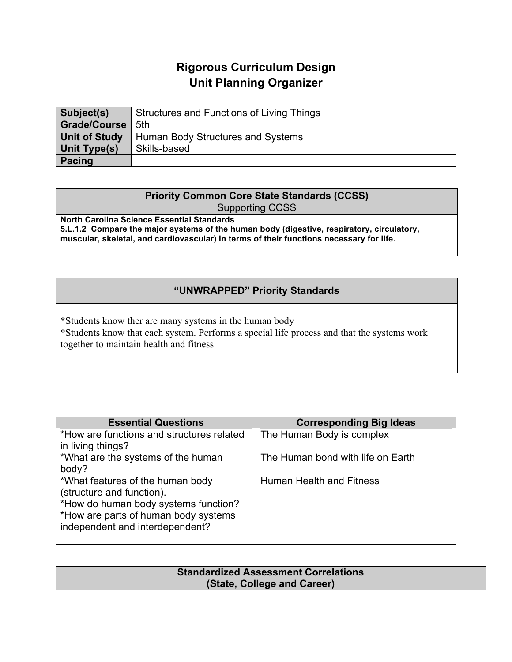## **Rigorous Curriculum Design Unit Planning Organizer**

| Subject(s)           | Structures and Functions of Living Things |
|----------------------|-------------------------------------------|
| Grade/Course         | .5th                                      |
| <b>Unit of Study</b> | Human Body Structures and Systems         |
| Unit Type(s)         | Skills-based                              |
| <b>Pacing</b>        |                                           |

## **Priority Common Core State Standards (CCSS)** Supporting CCSS

**North Carolina Science Essential Standards 5.L.1.2 Compare the major systems of the human body (digestive, respiratory, circulatory, muscular, skeletal, and cardiovascular) in terms of their functions necessary for life.**

## **"UNWRAPPED" Priority Standards**

\*Students know ther are many systems in the human body \*Students know that each system. Performs a special life process and that the systems work together to maintain health and fitness

| <b>Essential Questions</b>                | <b>Corresponding Big Ideas</b>    |
|-------------------------------------------|-----------------------------------|
| *How are functions and structures related | The Human Body is complex         |
| in living things?                         |                                   |
| *What are the systems of the human        | The Human bond with life on Earth |
| body?                                     |                                   |
| *What features of the human body          | Human Health and Fitness          |
| (structure and function).                 |                                   |
| *How do human body systems function?      |                                   |
| *How are parts of human body systems      |                                   |
| independent and interdependent?           |                                   |
|                                           |                                   |

| <b>Standardized Assessment Correlations</b> |  |
|---------------------------------------------|--|
| (State, College and Career)                 |  |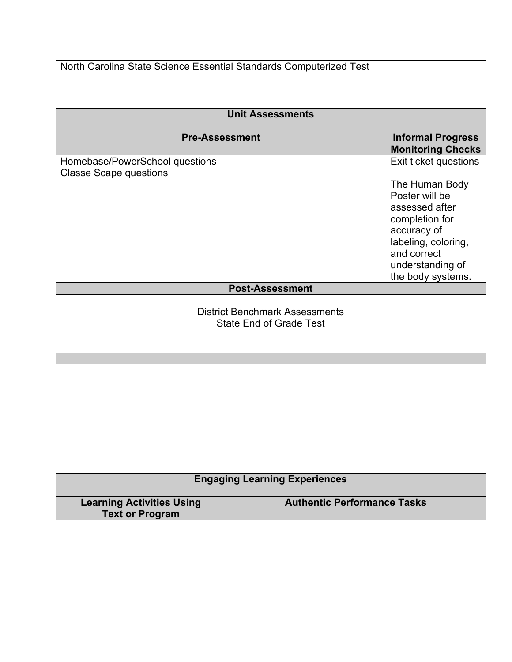| North Carolina State Science Essential Standards Computerized Test<br><b>Unit Assessments</b> |                                                                                                                                                                                             |  |
|-----------------------------------------------------------------------------------------------|---------------------------------------------------------------------------------------------------------------------------------------------------------------------------------------------|--|
|                                                                                               |                                                                                                                                                                                             |  |
| Homebase/PowerSchool questions<br><b>Classe Scape questions</b>                               | Exit ticket questions<br>The Human Body<br>Poster will be<br>assessed after<br>completion for<br>accuracy of<br>labeling, coloring,<br>and correct<br>understanding of<br>the body systems. |  |
| <b>Post-Assessment</b>                                                                        |                                                                                                                                                                                             |  |
| <b>District Benchmark Assessments</b><br>State End of Grade Test                              |                                                                                                                                                                                             |  |

| <b>Engaging Learning Experiences</b>                       |                                    |  |
|------------------------------------------------------------|------------------------------------|--|
| <b>Learning Activities Using</b><br><b>Text or Program</b> | <b>Authentic Performance Tasks</b> |  |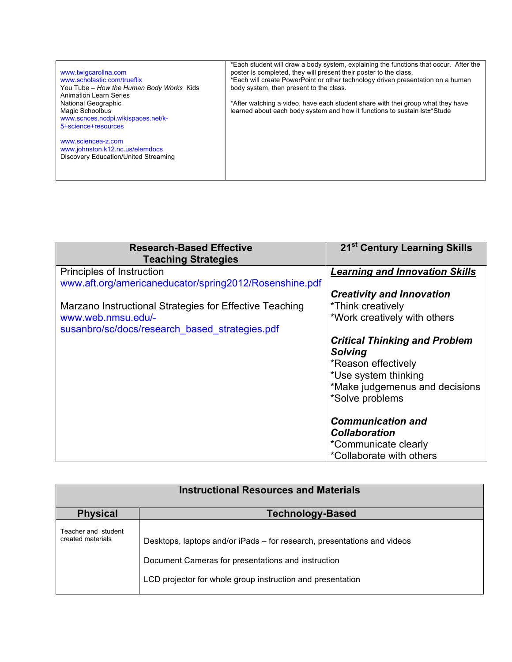| www.twigcarolina.com                     | *Each student will draw a body system, explaining the functions that occur. After the<br>poster is completed, they will present their poster to the class. |
|------------------------------------------|------------------------------------------------------------------------------------------------------------------------------------------------------------|
| www.scholastic.com/trueflix              | *Each will create PowerPoint or other technology driven presentation on a human                                                                            |
| You Tube – How the Human Body Works Kids | body system, then present to the class.                                                                                                                    |
| <b>Animation Learn Series</b>            |                                                                                                                                                            |
| National Geographic                      | *After watching a video, have each student share with thei group what they have                                                                            |
| Magic Schoolbus                          | learned about each body system and how it functions to sustain lst+*Stude                                                                                  |
| www.scnces.ncdpi.wikispaces.net/k-       |                                                                                                                                                            |
| 5+science+resources                      |                                                                                                                                                            |
|                                          |                                                                                                                                                            |
| www.sciencea-z.com                       |                                                                                                                                                            |
| www.johnston.k12.nc.us/elemdocs          |                                                                                                                                                            |
| Discovery Education/United Streaming     |                                                                                                                                                            |
|                                          |                                                                                                                                                            |
|                                          |                                                                                                                                                            |

| <b>Research-Based Effective</b>                         | 21 <sup>st</sup> Century Learning Skills |
|---------------------------------------------------------|------------------------------------------|
| <b>Teaching Strategies</b>                              |                                          |
| Principles of Instruction                               | <b>Learning and Innovation Skills</b>    |
| www.aft.org/americaneducator/spring2012/Rosenshine.pdf  |                                          |
|                                                         | <b>Creativity and Innovation</b>         |
| Marzano Instructional Strategies for Effective Teaching | *Think creatively                        |
| www.web.nmsu.edu/-                                      | *Work creatively with others             |
| susanbro/sc/docs/research based strategies.pdf          |                                          |
|                                                         | <b>Critical Thinking and Problem</b>     |
|                                                         | <b>Solving</b>                           |
|                                                         | *Reason effectively                      |
|                                                         | *Use system thinking                     |
|                                                         | *Make judgemenus and decisions           |
|                                                         | *Solve problems                          |
|                                                         |                                          |
|                                                         | <b>Communication and</b>                 |
|                                                         | <b>Collaboration</b>                     |
|                                                         | *Communicate clearly                     |
|                                                         | *Collaborate with others                 |

| <b>Instructional Resources and Materials</b> |                                                                                                                                                                                             |
|----------------------------------------------|---------------------------------------------------------------------------------------------------------------------------------------------------------------------------------------------|
| <b>Physical</b>                              | <b>Technology-Based</b>                                                                                                                                                                     |
| Teacher and student<br>created materials     | Desktops, laptops and/or iPads – for research, presentations and videos<br>Document Cameras for presentations and instruction<br>LCD projector for whole group instruction and presentation |